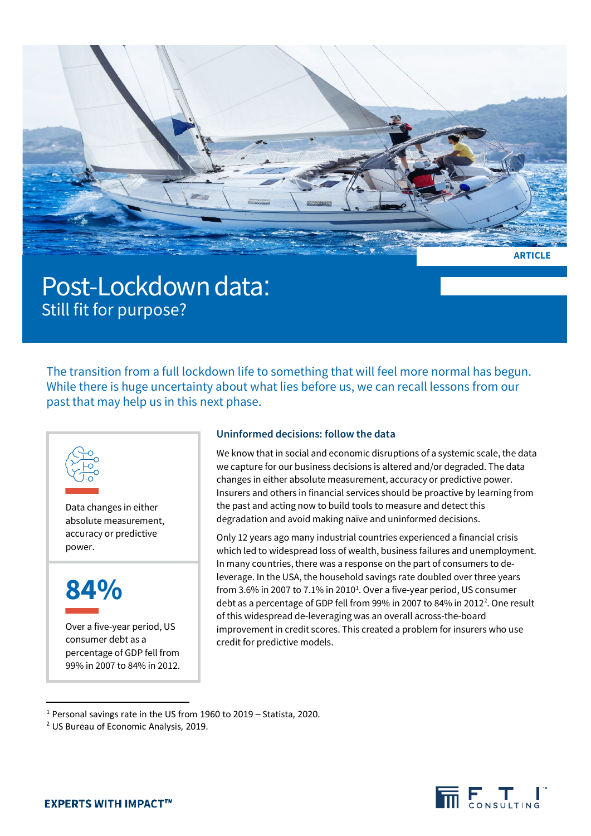

Post-Lockdown data:<br>Still fit for purpose?

The transition from a full lockdown life to something that will feel more normal has begun. While there is huge uncertainty about what lies before us, we can recall lessons from our past that may help us in this next phase.



Data changes in either absolute measurement, accuracy or predictive power.



Over a five-year period, US consumer debt as a percentage of GDP fell from 99% in 2007 to 84% in 2012.

## **Uninformed decisions: follow the data**

We know that in social and economic disruptions of a systemic scale, the data we capture for our business decisions is altered and/or degraded. The data changes in either absolute measurement, accuracy or predictive power. Insurers and others in financial services should be proactive by learning from the past and acting now to build tools to measure and detect this degradation and avoid making naïve and uninformed decisions.

Only 12 years ago many industrial countries experienced a financial crisis which led to widespread loss of wealth, business failures and unemployment. In many countries, there was a response on the part of consumers to deleverage. In the USA, the household savings rate doubled over three years from 3.6% in 2007 to 7.[1](#page-0-0)% in 2010<sup>1</sup>. Over a five-year period, US consumer debt as a percentage of GDP fell from 99% in [2](#page-0-1)007 to 84% in 2012<sup>2</sup>. One result of this widespread de-leveraging was an overall across-the-board improvement in credit scores. This created a problem for insurers who use credit for predictive models.



<span id="page-0-0"></span><sup>1</sup> Personal savings rate in the US from 1960 to 2019 – Statista, 2020.

<span id="page-0-1"></span><sup>2</sup> US Bureau of Economic Analysis, 2019.